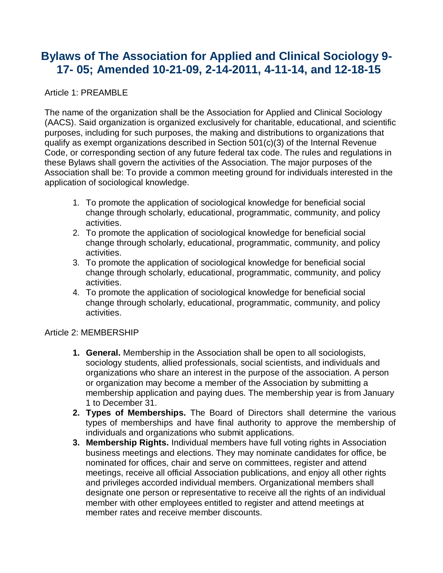# **Bylaws of The Association for Applied and Clinical Sociology 9- 17- 05; Amended 10-21-09, 2-14-2011, 4-11-14, and 12-18-15**

# Article 1: PREAMBLE

The name of the organization shall be the Association for Applied and Clinical Sociology (AACS). Said organization is organized exclusively for charitable, educational, and scientific purposes, including for such purposes, the making and distributions to organizations that qualify as exempt organizations described in Section 501(c)(3) of the Internal Revenue Code, or corresponding section of any future federal tax code. The rules and regulations in these Bylaws shall govern the activities of the Association. The major purposes of the Association shall be: To provide a common meeting ground for individuals interested in the application of sociological knowledge.

- 1. To promote the application of sociological knowledge for beneficial social change through scholarly, educational, programmatic, community, and policy activities.
- 2. To promote the application of sociological knowledge for beneficial social change through scholarly, educational, programmatic, community, and policy activities.
- 3. To promote the application of sociological knowledge for beneficial social change through scholarly, educational, programmatic, community, and policy activities.
- 4. To promote the application of sociological knowledge for beneficial social change through scholarly, educational, programmatic, community, and policy activities.

#### Article 2: MEMBERSHIP

- **1. General.** Membership in the Association shall be open to all sociologists, sociology students, allied professionals, social scientists, and individuals and organizations who share an interest in the purpose of the association. A person or organization may become a member of the Association by submitting a membership application and paying dues. The membership year is from January 1 to December 31.
- **2. Types of Memberships.** The Board of Directors shall determine the various types of memberships and have final authority to approve the membership of individuals and organizations who submit applications.
- **3. Membership Rights.** Individual members have full voting rights in Association business meetings and elections. They may nominate candidates for office, be nominated for offices, chair and serve on committees, register and attend meetings, receive all official Association publications, and enjoy all other rights and privileges accorded individual members. Organizational members shall designate one person or representative to receive all the rights of an individual member with other employees entitled to register and attend meetings at member rates and receive member discounts.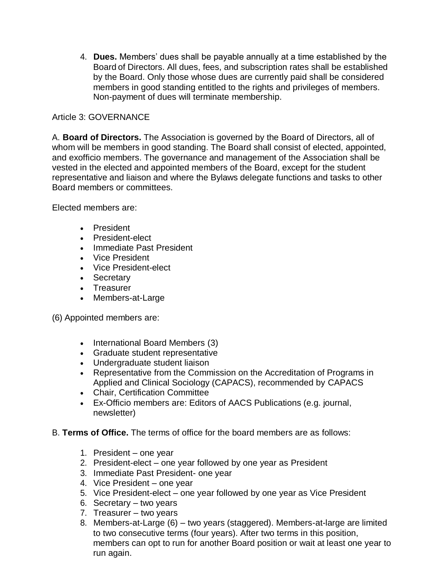4. **Dues.** Members' dues shall be payable annually at a time established by the Board of Directors. All dues, fees, and subscription rates shall be established by the Board. Only those whose dues are currently paid shall be considered members in good standing entitled to the rights and privileges of members. Non-payment of dues will terminate membership.

# Article 3: GOVERNANCE

A. **Board of Directors.** The Association is governed by the Board of Directors, all of whom will be members in good standing. The Board shall consist of elected, appointed, and exofficio members. The governance and management of the Association shall be vested in the elected and appointed members of the Board, except for the student representative and liaison and where the Bylaws delegate functions and tasks to other Board members or committees.

Elected members are:

- President
- President-elect
- Immediate Past President
- Vice President
- Vice President-elect
- Secretary
- Treasurer
- Members-at-Large

(6) Appointed members are:

- International Board Members (3)
- Graduate student representative
- Undergraduate student liaison
- Representative from the Commission on the Accreditation of Programs in Applied and Clinical Sociology (CAPACS), recommended by CAPACS
- Chair, Certification Committee
- Ex-Officio members are: Editors of AACS Publications (e.g. journal, newsletter)
- B. **Terms of Office.** The terms of office for the board members are as follows:
	- 1. President one year
	- 2. President-elect one year followed by one year as President
	- 3. Immediate Past President- one year
	- 4. Vice President one year
	- 5. Vice President-elect one year followed by one year as Vice President
	- 6. Secretary two years
	- 7. Treasurer two years
	- 8. Members-at-Large (6) two years (staggered). Members-at-large are limited to two consecutive terms (four years). After two terms in this position, members can opt to run for another Board position or wait at least one year to run again.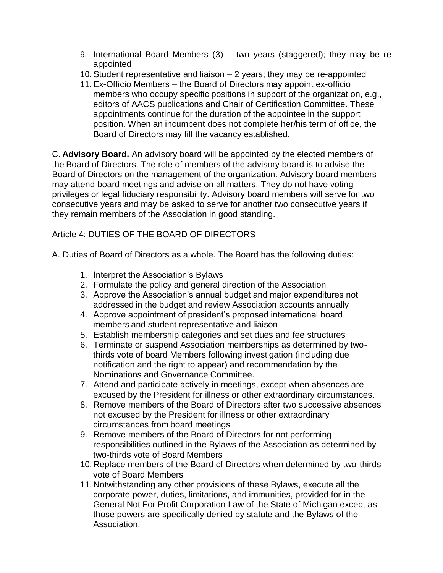- 9. International Board Members (3) two years (staggered); they may be reappointed
- 10. Student representative and liaison 2 years; they may be re-appointed
- 11. Ex-Officio Members the Board of Directors may appoint ex-officio members who occupy specific positions in support of the organization, e.g., editors of AACS publications and Chair of Certification Committee. These appointments continue for the duration of the appointee in the support position. When an incumbent does not complete her/his term of office, the Board of Directors may fill the vacancy established.

C. **Advisory Board.** An advisory board will be appointed by the elected members of the Board of Directors. The role of members of the advisory board is to advise the Board of Directors on the management of the organization. Advisory board members may attend board meetings and advise on all matters. They do not have voting privileges or legal fiduciary responsibility. Advisory board members will serve for two consecutive years and may be asked to serve for another two consecutive years if they remain members of the Association in good standing.

# Article 4: DUTIES OF THE BOARD OF DIRECTORS

A. Duties of Board of Directors as a whole. The Board has the following duties:

- 1. Interpret the Association's Bylaws
- 2. Formulate the policy and general direction of the Association
- 3. Approve the Association's annual budget and major expenditures not addressed in the budget and review Association accounts annually
- 4. Approve appointment of president's proposed international board members and student representative and liaison
- 5. Establish membership categories and set dues and fee structures
- 6. Terminate or suspend Association memberships as determined by twothirds vote of board Members following investigation (including due notification and the right to appear) and recommendation by the Nominations and Governance Committee.
- 7. Attend and participate actively in meetings, except when absences are excused by the President for illness or other extraordinary circumstances.
- 8. Remove members of the Board of Directors after two successive absences not excused by the President for illness or other extraordinary circumstances from board meetings
- 9. Remove members of the Board of Directors for not performing responsibilities outlined in the Bylaws of the Association as determined by two-thirds vote of Board Members
- 10. Replace members of the Board of Directors when determined by two-thirds vote of Board Members
- 11. Notwithstanding any other provisions of these Bylaws, execute all the corporate power, duties, limitations, and immunities, provided for in the General Not For Profit Corporation Law of the State of Michigan except as those powers are specifically denied by statute and the Bylaws of the Association.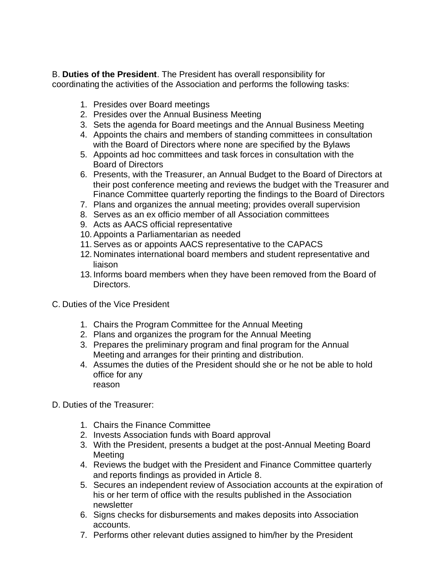B. **Duties of the President**. The President has overall responsibility for coordinating the activities of the Association and performs the following tasks:

- 1. Presides over Board meetings
- 2. Presides over the Annual Business Meeting
- 3. Sets the agenda for Board meetings and the Annual Business Meeting
- 4. Appoints the chairs and members of standing committees in consultation with the Board of Directors where none are specified by the Bylaws
- 5. Appoints ad hoc committees and task forces in consultation with the Board of Directors
- 6. Presents, with the Treasurer, an Annual Budget to the Board of Directors at their post conference meeting and reviews the budget with the Treasurer and Finance Committee quarterly reporting the findings to the Board of Directors
- 7. Plans and organizes the annual meeting; provides overall supervision
- 8. Serves as an ex officio member of all Association committees
- 9. Acts as AACS official representative
- 10.Appoints a Parliamentarian as needed
- 11.Serves as or appoints AACS representative to the CAPACS
- 12. Nominates international board members and student representative and liaison
- 13. Informs board members when they have been removed from the Board of Directors.
- C. Duties of the Vice President
	- 1. Chairs the Program Committee for the Annual Meeting
	- 2. Plans and organizes the program for the Annual Meeting
	- 3. Prepares the preliminary program and final program for the Annual Meeting and arranges for their printing and distribution.
	- 4. Assumes the duties of the President should she or he not be able to hold office for any reason
- D. Duties of the Treasurer:
	- 1. Chairs the Finance Committee
	- 2. Invests Association funds with Board approval
	- 3. With the President, presents a budget at the post-Annual Meeting Board Meeting
	- 4. Reviews the budget with the President and Finance Committee quarterly and reports findings as provided in Article 8.
	- 5. Secures an independent review of Association accounts at the expiration of his or her term of office with the results published in the Association newsletter
	- 6. Signs checks for disbursements and makes deposits into Association accounts.
	- 7. Performs other relevant duties assigned to him/her by the President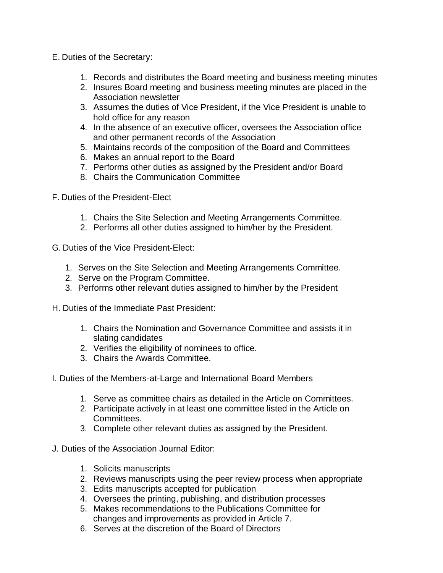- E. Duties of the Secretary:
	- 1. Records and distributes the Board meeting and business meeting minutes
	- 2. Insures Board meeting and business meeting minutes are placed in the Association newsletter
	- 3. Assumes the duties of Vice President, if the Vice President is unable to hold office for any reason
	- 4. In the absence of an executive officer, oversees the Association office and other permanent records of the Association
	- 5. Maintains records of the composition of the Board and Committees
	- 6. Makes an annual report to the Board
	- 7. Performs other duties as assigned by the President and/or Board
	- 8. Chairs the Communication Committee
- F. Duties of the President-Elect
	- 1. Chairs the Site Selection and Meeting Arrangements Committee.
	- 2. Performs all other duties assigned to him/her by the President.
- G. Duties of the Vice President-Elect:
	- 1. Serves on the Site Selection and Meeting Arrangements Committee.
	- 2. Serve on the Program Committee.
	- 3. Performs other relevant duties assigned to him/her by the President
- H. Duties of the Immediate Past President:
	- 1. Chairs the Nomination and Governance Committee and assists it in slating candidates
	- 2. Verifies the eligibility of nominees to office.
	- 3. Chairs the Awards Committee.
- I. Duties of the Members-at-Large and International Board Members
	- 1. Serve as committee chairs as detailed in the Article on Committees.
	- 2. Participate actively in at least one committee listed in the Article on Committees.
	- 3. Complete other relevant duties as assigned by the President.
- J. Duties of the Association Journal Editor:
	- 1. Solicits manuscripts
	- 2. Reviews manuscripts using the peer review process when appropriate
	- 3. Edits manuscripts accepted for publication
	- 4. Oversees the printing, publishing, and distribution processes
	- 5. Makes recommendations to the Publications Committee for changes and improvements as provided in Article 7.
	- 6. Serves at the discretion of the Board of Directors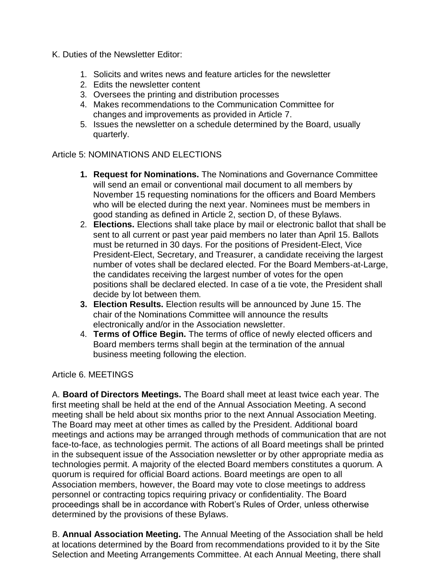- K. Duties of the Newsletter Editor:
	- 1. Solicits and writes news and feature articles for the newsletter
	- 2. Edits the newsletter content
	- 3. Oversees the printing and distribution processes
	- 4. Makes recommendations to the Communication Committee for changes and improvements as provided in Article 7.
	- 5. Issues the newsletter on a schedule determined by the Board, usually quarterly.

### Article 5: NOMINATIONS AND ELECTIONS

- **1. Request for Nominations.** The Nominations and Governance Committee will send an email or conventional mail document to all members by November 15 requesting nominations for the officers and Board Members who will be elected during the next year. Nominees must be members in good standing as defined in Article 2, section D, of these Bylaws.
- 2. **Elections.** Elections shall take place by mail or electronic ballot that shall be sent to all current or past year paid members no later than April 15. Ballots must be returned in 30 days. For the positions of President-Elect, Vice President-Elect, Secretary, and Treasurer, a candidate receiving the largest number of votes shall be declared elected. For the Board Members-at-Large, the candidates receiving the largest number of votes for the open positions shall be declared elected. In case of a tie vote, the President shall decide by lot between them.
- **3. Election Results.** Election results will be announced by June 15. The chair of the Nominations Committee will announce the results electronically and/or in the Association newsletter.
- 4. **Terms of Office Begin.** The terms of office of newly elected officers and Board members terms shall begin at the termination of the annual business meeting following the election.

#### Article 6. MEETINGS

A. **Board of Directors Meetings.** The Board shall meet at least twice each year. The first meeting shall be held at the end of the Annual Association Meeting. A second meeting shall be held about six months prior to the next Annual Association Meeting. The Board may meet at other times as called by the President. Additional board meetings and actions may be arranged through methods of communication that are not face-to-face, as technologies permit. The actions of all Board meetings shall be printed in the subsequent issue of the Association newsletter or by other appropriate media as technologies permit. A majority of the elected Board members constitutes a quorum. A quorum is required for official Board actions. Board meetings are open to all Association members, however, the Board may vote to close meetings to address personnel or contracting topics requiring privacy or confidentiality. The Board proceedings shall be in accordance with Robert's Rules of Order, unless otherwise determined by the provisions of these Bylaws.

B. **Annual Association Meeting.** The Annual Meeting of the Association shall be held at locations determined by the Board from recommendations provided to it by the Site Selection and Meeting Arrangements Committee. At each Annual Meeting, there shall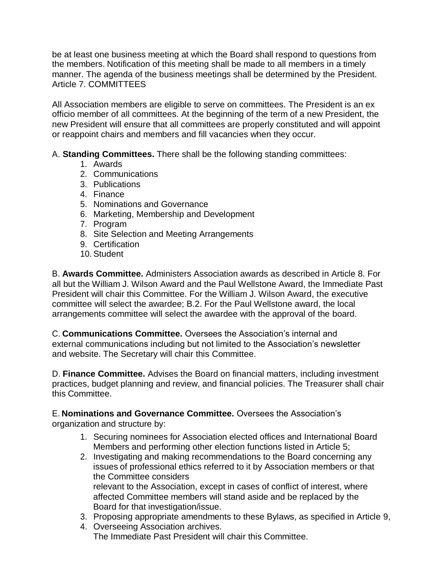be at least one business meeting at which the Board shall respond to questions from the members. Notification of this meeting shall be made to all members in a timely manner. The agenda of the business meetings shall be determined by the President. Article 7. COMMITTEES

All Association members are eligible to serve on committees. The President is an ex officio member of all committees. At the beginning of the term of a new President, the new President will ensure that all committees are properly constituted and will appoint or reappoint chairs and members and fill vacancies when they occur.

A. **Standing Committees.** There shall be the following standing committees:

- 1. Awards
- 2. Communications
- 3. Publications
- 4. Finance
- 5. Nominations and Governance
- 6. Marketing, Membership and Development
- 7. Program
- 8. Site Selection and Meeting Arrangements
- 9. Certification
- 10. Student

B. **Awards Committee.** Administers Association awards as described in Article 8. For all but the William J. Wilson Award and the Paul Wellstone Award, the Immediate Past President will chair this Committee. For the William J. Wilson Award, the executive committee will select the awardee; B.2. For the Paul Wellstone award, the local arrangements committee will select the awardee with the approval of the board.

C. **Communications Committee.** Oversees the Association's internal and external communications including but not limited to the Association's newsletter and website. The Secretary will chair this Committee.

D. **Finance Committee.** Advises the Board on financial matters, including investment practices, budget planning and review, and financial policies. The Treasurer shall chair this Committee.

E. **Nominations and Governance Committee.** Oversees the Association's

organization and structure by:

- 1. Securing nominees for Association elected offices and International Board Members and performing other election functions listed in Article 5;
- 2. Investigating and making recommendations to the Board concerning any issues of professional ethics referred to it by Association members or that the Committee considers relevant to the Association, except in cases of conflict of interest, where affected Committee members will stand aside and be replaced by the Board for that investigation/issue.
- 3. Proposing appropriate amendments to these Bylaws, as specified in Article 9,
- 4. Overseeing Association archives. The Immediate Past President will chair this Committee.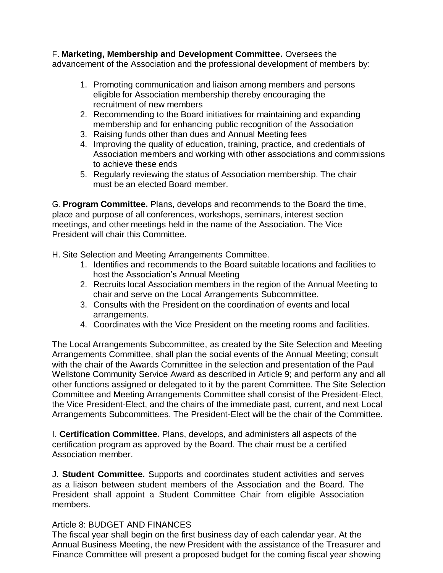F. **Marketing, Membership and Development Committee.** Oversees the advancement of the Association and the professional development of members by:

- 1. Promoting communication and liaison among members and persons eligible for Association membership thereby encouraging the recruitment of new members
- 2. Recommending to the Board initiatives for maintaining and expanding membership and for enhancing public recognition of the Association
- 3. Raising funds other than dues and Annual Meeting fees
- 4. Improving the quality of education, training, practice, and credentials of Association members and working with other associations and commissions to achieve these ends
- 5. Regularly reviewing the status of Association membership. The chair must be an elected Board member.

G. **Program Committee.** Plans, develops and recommends to the Board the time, place and purpose of all conferences, workshops, seminars, interest section meetings, and other meetings held in the name of the Association. The Vice President will chair this Committee.

H. Site Selection and Meeting Arrangements Committee.

- 1. Identifies and recommends to the Board suitable locations and facilities to host the Association's Annual Meeting
- 2. Recruits local Association members in the region of the Annual Meeting to chair and serve on the Local Arrangements Subcommittee.
- 3. Consults with the President on the coordination of events and local arrangements.
- 4. Coordinates with the Vice President on the meeting rooms and facilities.

The Local Arrangements Subcommittee, as created by the Site Selection and Meeting Arrangements Committee, shall plan the social events of the Annual Meeting; consult with the chair of the Awards Committee in the selection and presentation of the Paul Wellstone Community Service Award as described in Article 9; and perform any and all other functions assigned or delegated to it by the parent Committee. The Site Selection Committee and Meeting Arrangements Committee shall consist of the President-Elect, the Vice President-Elect, and the chairs of the immediate past, current, and next Local Arrangements Subcommittees. The President-Elect will be the chair of the Committee.

I. **Certification Committee.** Plans, develops, and administers all aspects of the certification program as approved by the Board. The chair must be a certified Association member.

J. **Student Committee.** Supports and coordinates student activities and serves as a liaison between student members of the Association and the Board. The President shall appoint a Student Committee Chair from eligible Association members.

#### Article 8: BUDGET AND FINANCES

The fiscal year shall begin on the first business day of each calendar year. At the Annual Business Meeting, the new President with the assistance of the Treasurer and Finance Committee will present a proposed budget for the coming fiscal year showing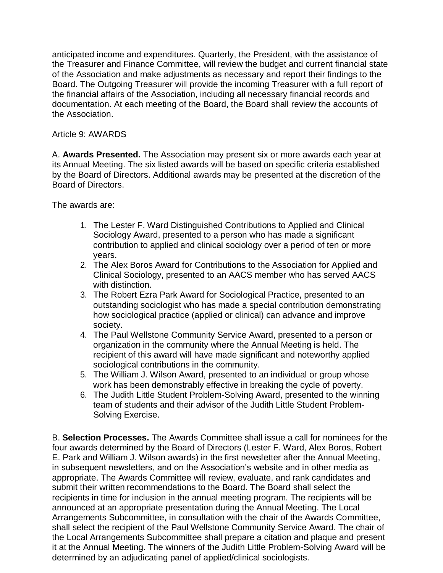anticipated income and expenditures. Quarterly, the President, with the assistance of the Treasurer and Finance Committee, will review the budget and current financial state of the Association and make adjustments as necessary and report their findings to the Board. The Outgoing Treasurer will provide the incoming Treasurer with a full report of the financial affairs of the Association, including all necessary financial records and documentation. At each meeting of the Board, the Board shall review the accounts of the Association.

# Article 9: AWARDS

A. **Awards Presented.** The Association may present six or more awards each year at its Annual Meeting. The six listed awards will be based on specific criteria established by the Board of Directors. Additional awards may be presented at the discretion of the Board of Directors.

The awards are:

- 1. The Lester F. Ward Distinguished Contributions to Applied and Clinical Sociology Award, presented to a person who has made a significant contribution to applied and clinical sociology over a period of ten or more years.
- 2. The Alex Boros Award for Contributions to the Association for Applied and Clinical Sociology, presented to an AACS member who has served AACS with distinction.
- 3. The Robert Ezra Park Award for Sociological Practice, presented to an outstanding sociologist who has made a special contribution demonstrating how sociological practice (applied or clinical) can advance and improve society.
- 4. The Paul Wellstone Community Service Award, presented to a person or organization in the community where the Annual Meeting is held. The recipient of this award will have made significant and noteworthy applied sociological contributions in the community.
- 5. The William J. Wilson Award, presented to an individual or group whose work has been demonstrably effective in breaking the cycle of poverty.
- 6. The Judith Little Student Problem-Solving Award, presented to the winning team of students and their advisor of the Judith Little Student Problem-Solving Exercise.

B. **Selection Processes.** The Awards Committee shall issue a call for nominees for the four awards determined by the Board of Directors (Lester F. Ward, Alex Boros, Robert E. Park and William J. Wilson awards) in the first newsletter after the Annual Meeting, in subsequent newsletters, and on the Association's website and in other media as appropriate. The Awards Committee will review, evaluate, and rank candidates and submit their written recommendations to the Board. The Board shall select the recipients in time for inclusion in the annual meeting program. The recipients will be announced at an appropriate presentation during the Annual Meeting. The Local Arrangements Subcommittee, in consultation with the chair of the Awards Committee, shall select the recipient of the Paul Wellstone Community Service Award. The chair of the Local Arrangements Subcommittee shall prepare a citation and plaque and present it at the Annual Meeting. The winners of the Judith Little Problem-Solving Award will be determined by an adjudicating panel of applied/clinical sociologists.